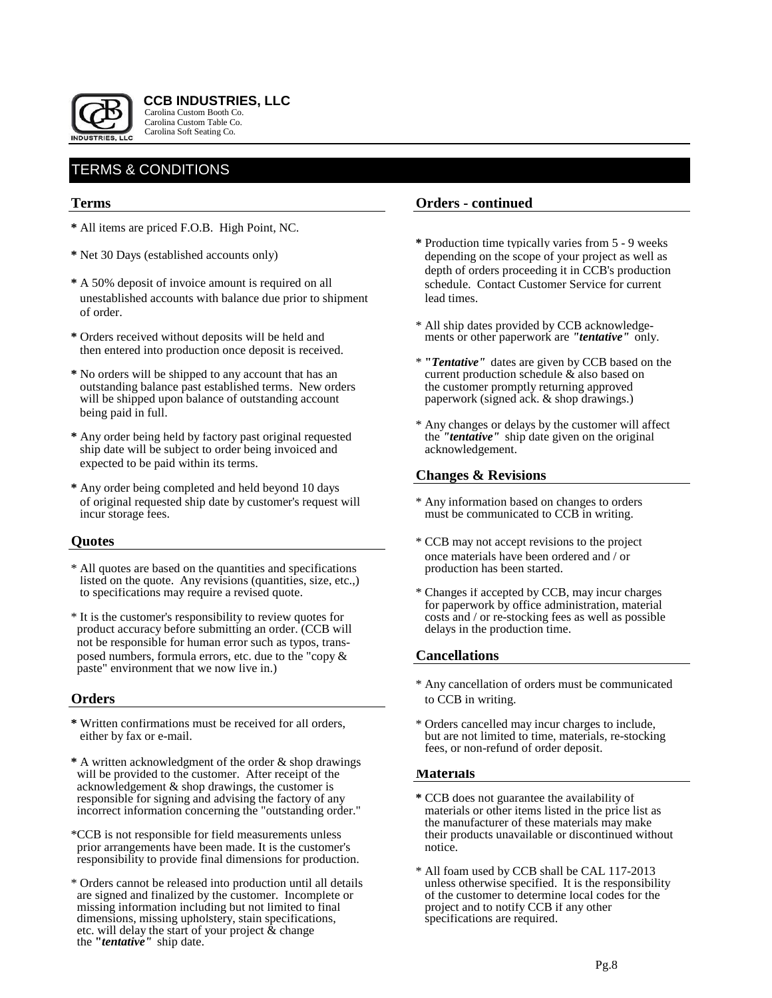

 **CCB INDUSTRIES, LLC** Carolina Custom Booth Co. Carolina Custom Table Co. Carolina Soft Seating Co.

# TERMS & CONDITIONS

## **Terms**

- **\*** All items are priced F.O.B. High Point, NC.
- 
- **\*** A 50% deposit of invoice amount is required on all schedule. Contact Customer Service for current unestablished accounts with balance due prior to shipment lead times. of order.
- **\*** Orders received without deposits will be held and ments or other paperwork are *"tentative"* only. then entered into production once deposit is received.
- **\*** No orders will be shipped to any account that has an current production schedule & also based on outstanding balance past established terms. New orders will be shipped upon balance of outstanding account paperwork (signed ack. & shop drawings.) being paid in full.
- **\*** Any order being held by factory past original requested the *"tentative"* ship date will be subject to order being invoiced and acknowledgement. ship date will be subject to order being invoiced and expected to be paid within its terms.
- **\*** Any order being completed and held beyond 10 days of original requested ship date by customer's request will \* Any information based on changes to orders incur storage fees.<br>must be communicated to CCB in writing.

- \* All quotes are based on the quantities and specifications listed on the quote. Any revisions (quantities, size, etc.,) to specifications may require a revised quote.
- \* It is the customer's responsibility to review quotes for costs and / or re-stocking fees as well as possible product accuracy before submitting an order. (CCB will not be responsible for human error such as typos, trans posed numbers, formula errors, etc. due to the "copy & **Cancellations** paste" environment that we now live in.)

- **\*** Written confirmations must be received for all orders, \* Orders cancelled may incur charges to include,
- **\*** A written acknowledgment of the order & shop drawings will be provided to the customer. After receipt of the **Materials**  acknowledgement & shop drawings, the customer is responsible for signing and advising the factory of any **\*** CCB does not guarantee the availability of incorrect information concerning the "outstanding order." materials or other items listed in the price list as
- \*CCB is not responsible for field measurements unless prior arrangements have been made. It is the customer's notice. responsibility to provide final dimensions for production.
- \* Orders cannot be released into production until all details unless otherwise specified. It is the responsibility are signed and finalized by the customer. Incomplete or of the customer to determine local codes missing information including but not limited to final project and to notify CCB if any other missing information including but not limited to final project and to notify CCB is dimensions, missing upholstery, stain specifications, specifications are required. dimensions, missing upholstery, stain specifications, etc. will delay the start of your project & change the **"***tentative"* ship date.

## **Orders - continued**

- **\*** Production time typically varies from 5 9 weeks **\*** Net 30 Days (established accounts only) depending on the scope of your project as well as depth of orders proceeding it in CCB's production
	- \* All ship dates provided by CCB acknowledge-
	- \* **"***Tentative"* dates are given by CCB based on the
	- \* Any changes or delays by the customer will affect the "*tentative*" ship date given on the original

## **Changes & Revisions**

- must be communicated to CCB in writing.
- **Quotes**  $\bullet$  CCB may not accept revisions to the project once materials have been ordered and / or<br>production has been started.
	- \* Changes if accepted by CCB, may incur charges for paperwork by office administration, material

- \* Any cancellation of orders must be communicated **Orders** to CCB in writing.
	- but are not limited to time, materials, re-stocking fees, or non-refund of order deposit.

- the manufacturer of these materials may make<br>their products unavailable or discontinued without
- \* All foam used by CCB shall be CAL 117-2013